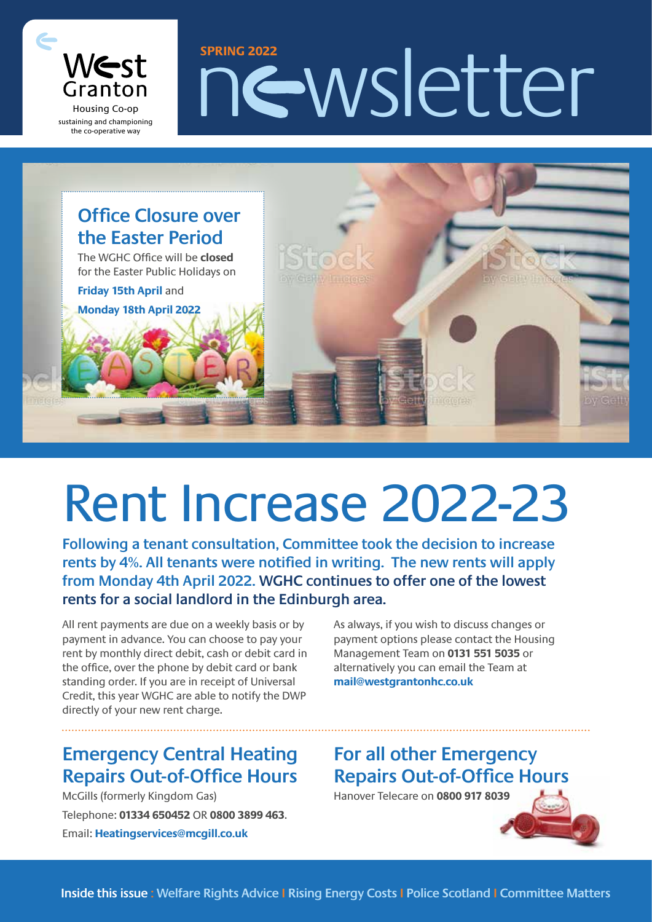

the co-operative way

# $\frac{N}{\text{G}}$ <br> **SPRING 2022**<br> **SPRING 2022**<br> **SPRING 2022**<br> **SPRING 2022**<br> **SPRING 2022**<br> **SPRING 2022**



# Rent Increase 2022-23

**Following a tenant consultation, Committee took the decision to increase rents by 4%. All tenants were notified in writing. The new rents will apply from Monday 4th April 2022. WGHC continues to offer one of the lowest rents for a social landlord in the Edinburgh area.**

All rent payments are due on a weekly basis or by payment in advance. You can choose to pay your rent by monthly direct debit, cash or debit card in the office, over the phone by debit card or bank standing order. If you are in receipt of Universal Credit, this year WGHC are able to notify the DWP directly of your new rent charge.

As always, if you wish to discuss changes or payment options please contact the Housing Management Team on **0131 551 5035** or alternatively you can email the Team at **[mail@westgrantonhc.co.uk](mailto:mail@westgrantonhc.co.uk)**

#### **Emergency Central Heating Repairs Out-of-Office Hours**

McGills (formerly Kingdom Gas) Telephone: **01334 650452** OR **0800 3899 463**. Email: **[Heatingservices@mcgill.co.uk](mailto:Heatingservices@mcgill.co.uk)**

#### **For all other Emergency Repairs Out-of-Office Hours**

Hanover Telecare on **0800 917 8039**

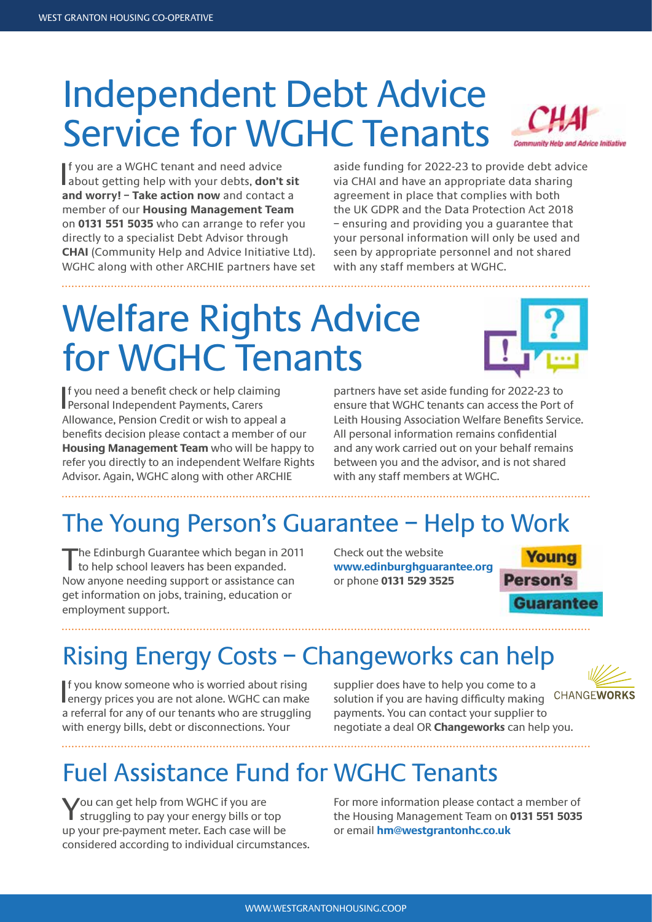# Independent Debt Advice Service for WGHC Tenants

Advine Initiative

If you are a WGHC tenant and need advice<br>about getting help with your debts, **don't sit f** you are a WGHC tenant and need advice **and worry! – Take action now** and contact a member of our **Housing Management Team** on **0131 551 5035** who can arrange to refer you directly to a specialist Debt Advisor through **CHAI** (Community Help and Advice Initiative Ltd). WGHC along with other ARCHIE partners have set

aside funding for 2022-23 to provide debt advice via CHAI and have an appropriate data sharing agreement in place that complies with both the UK GDPR and the Data Protection Act 2018 – ensuring and providing you a guarantee that your personal information will only be used and seen by appropriate personnel and not shared with any staff members at WGHC.

# Welfare Rights Advice for WGHC Tenants

I Personal Independent Payments, Carers If you need a benefit check or help claiming Allowance, Pension Credit or wish to appeal a benefits decision please contact a member of our **Housing Management Team** who will be happy to refer you directly to an independent Welfare Rights Advisor. Again, WGHC along with other ARCHIE

partners have set aside funding for 2022-23 to ensure that WGHC tenants can access the Port of Leith Housing Association Welfare Benefits Service. All personal information remains confidential and any work carried out on your behalf remains between you and the advisor, and is not shared with any staff members at WGHC.

## The Young Person's Guarantee – Help to Work

The Edinburgh Guarantee which began in 2011<br>to help school leavers has been expanded. Now anyone needing support or assistance can get information on jobs, training, education or employment support.

Check out the website **[www.edinburghguarantee.org](http://www.edinburghguarantee.org)** or phone **0131 529 3525**



## Rising Energy Costs – Changeworks can help

If you know someone who is worried about rising<br>energy prices you are not alone. WGHC can make If you know someone who is worried about rising a referral for any of our tenants who are struggling with energy bills, debt or disconnections. Your

supplier does have to help you come to a solution if you are having difficulty making payments. You can contact your supplier to negotiate a deal OR **Changeworks** can help you.



### Fuel Assistance Fund for WGHC Tenants

You can get help from WGHC if you are<br>
struggling to pay your energy bills or top up your pre-payment meter. Each case will be considered according to individual circumstances.

For more information please contact a member of the Housing Management Team on **0131 551 5035** or email **[hm@westgrantonhc.co.uk](mailto:hm@westgrantonhc.co.uk)**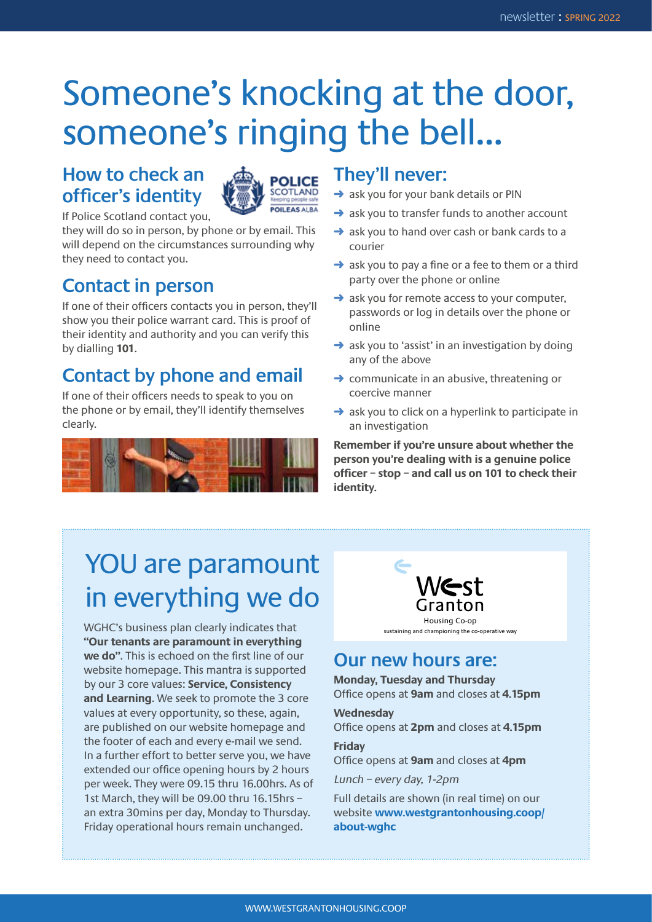# Someone's knocking at the door, someone's ringing the bell…

#### **How to check an officer's identity**



If Police Scotland contact you,

they will do so in person, by phone or by email. This will depend on the circumstances surrounding why they need to contact you.

#### **Contact in person**

If one of their officers contacts you in person, they'll show you their police warrant card. This is proof of their identity and authority and you can verify this by dialling **101**.

#### **Contact by phone and email**

If one of their officers needs to speak to you on the phone or by email, they'll identify themselves clearly.



#### **They'll never:**

- $\rightarrow$  ask you for your bank details or PIN
- $\rightarrow$  ask you to transfer funds to another account
- $\rightarrow$  ask you to hand over cash or bank cards to a courier
- $\rightarrow$  ask you to pay a fine or a fee to them or a third party over the phone or online
- $\rightarrow$  ask you for remote access to your computer, passwords or log in details over the phone or online
- $\rightarrow$  ask you to 'assist' in an investigation by doing any of the above
- $\rightarrow$  communicate in an abusive, threatening or coercive manner
- $\rightarrow$  ask you to click on a hyperlink to participate in an investigation

**Remember if you're unsure about whether the person you're dealing with is a genuine police officer – stop – and call us on 101 to check their identity.**

# YOU are paramount in everything we do

WGHC's business plan clearly indicates that **"Our tenants are paramount in everything we do"**. This is echoed on the first line of our website homepage. This mantra is supported by our 3 core values: **Service, Consistency and Learning**. We seek to promote the 3 core values at every opportunity, so these, again, are published on our website homepage and the footer of each and every e-mail we send. In a further effort to better serve you, we have extended our office opening hours by 2 hours per week. They were 09.15 thru 16.00hrs. As of 1st March, they will be 09.00 thru 16.15hrs – an extra 30mins per day, Monday to Thursday. Friday operational hours remain unchanged.



#### **Our new hours are:**

**Monday, Tuesday and Thursday** Office opens at **9am** and closes at **4.15pm**

**Wednesday**

Office opens at **2pm** and closes at **4.15pm Friday**

Office opens at **9am** and closes at **4pm**

Lunch – every day, 1-2pm

Full details are shown (in real time) on our website **[www.westgrantonhousing.coop/](https://www.westgrantonhousing.coop/about-wghc/) [about-wghc](https://www.westgrantonhousing.coop/about-wghc/)**